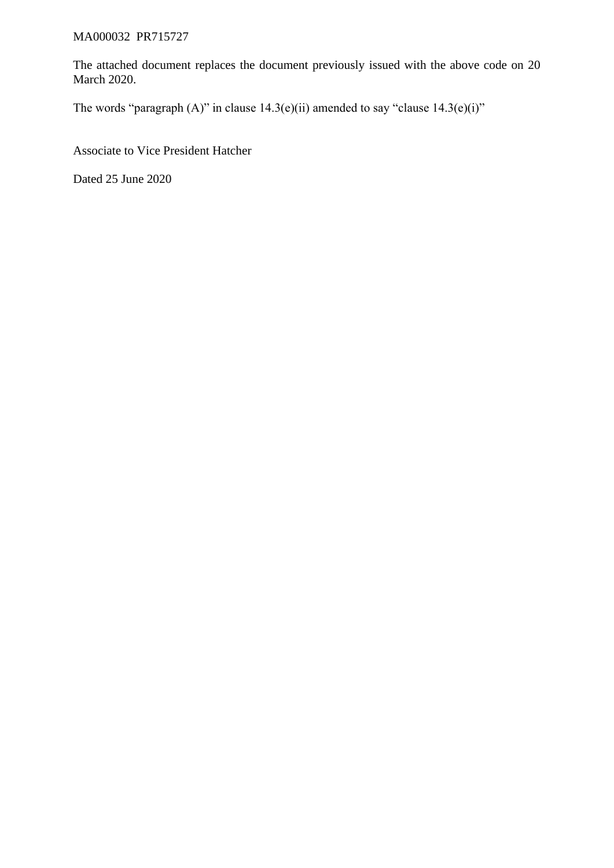## MA000032 PR715727

The attached document replaces the document previously issued with the above code on 20 March 2020.

The words "paragraph  $(A)$ " in clause 14.3(e)(ii) amended to say "clause 14.3(e)(i)"

Associate to Vice President Hatcher

Dated 25 June 2020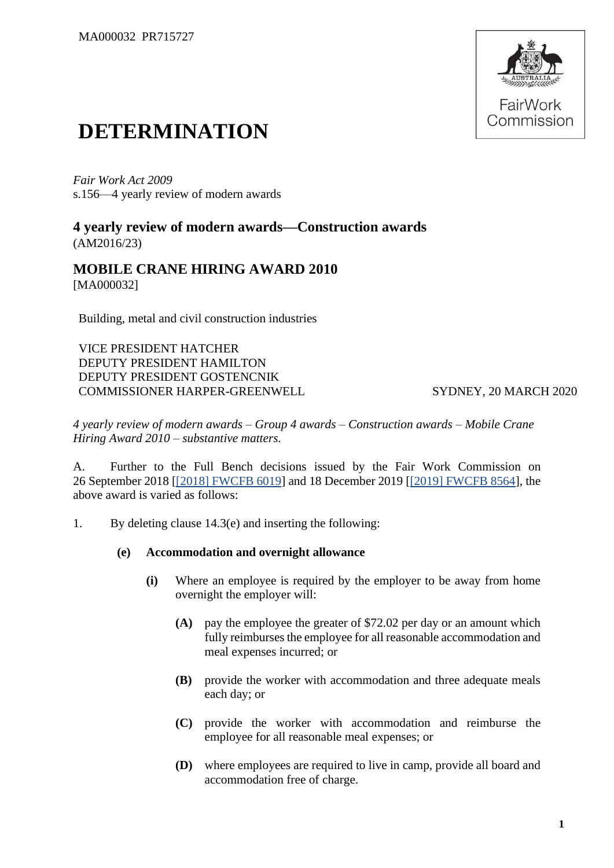

## **DETERMINATION**

*Fair Work Act 2009*  s.156—4 yearly review of modern awards

**4 yearly review of modern awards—Construction awards** (AM2016/23)

## **MOBILE CRANE HIRING AWARD 2010** [MA000032]

Building, metal and civil construction industries

VICE PRESIDENT HATCHER DEPUTY PRESIDENT HAMILTON DEPUTY PRESIDENT GOSTENCNIK COMMISSIONER HARPER-GREENWELL SYDNEY, 20 MARCH 2020

*4 yearly review of modern awards – Group 4 awards – Construction awards – Mobile Crane Hiring Award 2010 – substantive matters.*

A. Further to the Full Bench decisions issued by the Fair Work Commission on 26 September 2018 [\[\[2018\] FWCFB 6019\]](https://www.fwc.gov.au/documents/decisionssigned/html/2018fwcfb6019.htm) and 18 December 2019 [\[\[2019\] FWCFB 8564\]](https://www.fwc.gov.au/documents/decisionssigned/html/2019fwcfb8564.htm), the above award is varied as follows:

1. By deleting clause 14.3(e) and inserting the following:

## **(e) Accommodation and overnight allowance**

- **(i)** Where an employee is required by the employer to be away from home overnight the employer will:
	- **(A)** pay the employee the greater of \$72.02 per day or an amount which fully reimburses the employee for all reasonable accommodation and meal expenses incurred; or
	- **(B)** provide the worker with accommodation and three adequate meals each day; or
	- **(C)** provide the worker with accommodation and reimburse the employee for all reasonable meal expenses; or
	- **(D)** where employees are required to live in camp, provide all board and accommodation free of charge.